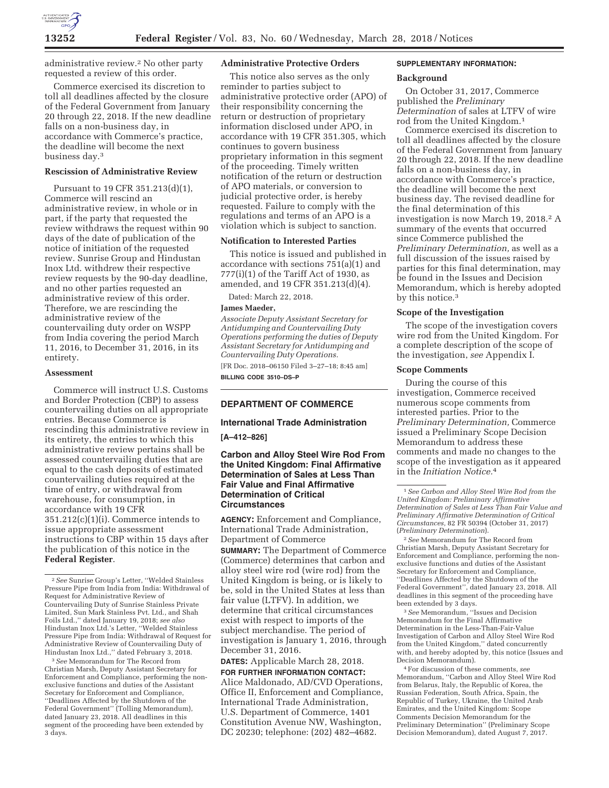

administrative review.2 No other party requested a review of this order.

Commerce exercised its discretion to toll all deadlines affected by the closure of the Federal Government from January 20 through 22, 2018. If the new deadline falls on a non-business day, in accordance with Commerce's practice, the deadline will become the next business day.3

# **Rescission of Administrative Review**

Pursuant to 19 CFR 351.213(d)(1), Commerce will rescind an administrative review, in whole or in part, if the party that requested the review withdraws the request within 90 days of the date of publication of the notice of initiation of the requested review. Sunrise Group and Hindustan Inox Ltd. withdrew their respective review requests by the 90-day deadline, and no other parties requested an administrative review of this order. Therefore, we are rescinding the administrative review of the countervailing duty order on WSPP from India covering the period March 11, 2016, to December 31, 2016, in its entirety.

#### **Assessment**

Commerce will instruct U.S. Customs and Border Protection (CBP) to assess countervailing duties on all appropriate entries. Because Commerce is rescinding this administrative review in its entirety, the entries to which this administrative review pertains shall be assessed countervailing duties that are equal to the cash deposits of estimated countervailing duties required at the time of entry, or withdrawal from warehouse, for consumption, in accordance with 19 CFR  $351.212(c)(1)(i)$ . Commerce intends to issue appropriate assessment instructions to CBP within 15 days after the publication of this notice in the **Federal Register**.

3*See* Memorandum for The Record from Christian Marsh, Deputy Assistant Secretary for Enforcement and Compliance, performing the nonexclusive functions and duties of the Assistant Secretary for Enforcement and Compliance, ''Deadlines Affected by the Shutdown of the Federal Government'' (Tolling Memorandum), dated January 23, 2018. All deadlines in this segment of the proceeding have been extended by 3 days.

#### **Administrative Protective Orders**

This notice also serves as the only reminder to parties subject to administrative protective order (APO) of their responsibility concerning the return or destruction of proprietary information disclosed under APO, in accordance with 19 CFR 351.305, which continues to govern business proprietary information in this segment of the proceeding. Timely written notification of the return or destruction of APO materials, or conversion to judicial protective order, is hereby requested. Failure to comply with the regulations and terms of an APO is a violation which is subject to sanction.

## **Notification to Interested Parties**

This notice is issued and published in accordance with sections 751(a)(1) and 777(i)(1) of the Tariff Act of 1930, as amended, and 19 CFR 351.213(d)(4).

Dated: March 22, 2018.

### **James Maeder,**

*Associate Deputy Assistant Secretary for Antidumping and Countervailing Duty Operations performing the duties of Deputy Assistant Secretary for Antidumping and Countervailing Duty Operations.*  [FR Doc. 2018–06150 Filed 3–27–18; 8:45 am] **BILLING CODE 3510–DS–P** 

## **DEPARTMENT OF COMMERCE**

#### **International Trade Administration**

**[A–412–826]** 

# **Carbon and Alloy Steel Wire Rod From the United Kingdom: Final Affirmative Determination of Sales at Less Than Fair Value and Final Affirmative Determination of Critical Circumstances**

**AGENCY:** Enforcement and Compliance, International Trade Administration, Department of Commerce **SUMMARY:** The Department of Commerce

(Commerce) determines that carbon and alloy steel wire rod (wire rod) from the United Kingdom is being, or is likely to be, sold in the United States at less than fair value (LTFV). In addition, we determine that critical circumstances exist with respect to imports of the subject merchandise. The period of investigation is January 1, 2016, through December 31, 2016.

**DATES:** Applicable March 28, 2018. **FOR FURTHER INFORMATION CONTACT:** 

Alice Maldonado, AD/CVD Operations, Office II, Enforcement and Compliance, International Trade Administration, U.S. Department of Commerce, 1401 Constitution Avenue NW, Washington, DC 20230; telephone: (202) 482–4682.

## **SUPPLEMENTARY INFORMATION:**

#### **Background**

On October 31, 2017, Commerce published the *Preliminary Determination* of sales at LTFV of wire rod from the United Kingdom.1

Commerce exercised its discretion to toll all deadlines affected by the closure of the Federal Government from January 20 through 22, 2018. If the new deadline falls on a non-business day, in accordance with Commerce's practice, the deadline will become the next business day. The revised deadline for the final determination of this investigation is now March 19, 2018.<sup>2</sup> A summary of the events that occurred since Commerce published the *Preliminary Determination,* as well as a full discussion of the issues raised by parties for this final determination, may be found in the Issues and Decision Memorandum, which is hereby adopted by this notice.3

### **Scope of the Investigation**

The scope of the investigation covers wire rod from the United Kingdom. For a complete description of the scope of the investigation, *see* Appendix I.

### **Scope Comments**

During the course of this investigation, Commerce received numerous scope comments from interested parties. Prior to the *Preliminary Determination,* Commerce issued a Preliminary Scope Decision Memorandum to address these comments and made no changes to the scope of the investigation as it appeared in the *Initiation Notice.*4

2*See* Memorandum for The Record from Christian Marsh, Deputy Assistant Secretary for Enforcement and Compliance, performing the nonexclusive functions and duties of the Assistant Secretary for Enforcement and Compliance, ''Deadlines Affected by the Shutdown of the Federal Government'', dated January 23, 2018. All deadlines in this segment of the proceeding have been extended by 3 days.

3*See* Memorandum, ''Issues and Decision Memorandum for the Final Affirmative Determination in the Less-Than-Fair-Value Investigation of Carbon and Alloy Steel Wire Rod from the United Kingdom,'' dated concurrently with, and hereby adopted by, this notice (Issues and Decision Memorandum).

4For discussion of these comments, *see*  Memorandum, ''Carbon and Alloy Steel Wire Rod from Belarus, Italy, the Republic of Korea, the Russian Federation, South Africa, Spain, the Republic of Turkey, Ukraine, the United Arab Emirates, and the United Kingdom: Scope Comments Decision Memorandum for the Preliminary Determination'' (Preliminary Scope Decision Memorandum), dated August 7, 2017.

<sup>2</sup>*See* Sunrise Group's Letter, ''Welded Stainless Pressure Pipe from India from India: Withdrawal of Request for Administrative Review of Countervailing Duty of Sunrise Stainless Private Limited, Sun Mark Stainless Pvt. Ltd., and Shah Foils Ltd.,'' dated January 19, 2018; *see also*  Hindustan Inox Ltd.'s Letter, ''Welded Stainless Pressure Pipe from India: Withdrawal of Request for Administrative Review of Countervailing Duty of Hindustan Inox Ltd.,'' dated February 3, 2018.

<sup>1</sup>*See Carbon and Alloy Steel Wire Rod from the United Kingdom: Preliminary Affirmative Determination of Sales at Less Than Fair Value and Preliminary Affirmative Determination of Critical Circumstances,* 82 FR 50394 (October 31, 2017) (*Preliminary Determination*).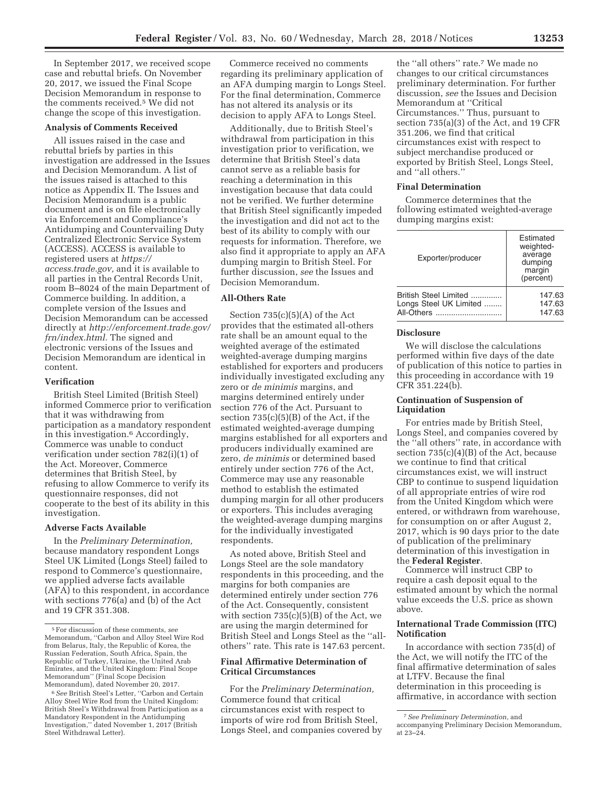In September 2017, we received scope case and rebuttal briefs. On November 20, 2017, we issued the Final Scope Decision Memorandum in response to the comments received.5 We did not change the scope of this investigation.

### **Analysis of Comments Received**

All issues raised in the case and rebuttal briefs by parties in this investigation are addressed in the Issues and Decision Memorandum. A list of the issues raised is attached to this notice as Appendix II. The Issues and Decision Memorandum is a public document and is on file electronically via Enforcement and Compliance's Antidumping and Countervailing Duty Centralized Electronic Service System (ACCESS). ACCESS is available to registered users at *https:// access.trade.gov,* and it is available to all parties in the Central Records Unit, room B–8024 of the main Department of Commerce building. In addition, a complete version of the Issues and Decision Memorandum can be accessed directly at *http://enforcement.trade.gov/ frn/index.html.* The signed and electronic versions of the Issues and Decision Memorandum are identical in content.

# **Verification**

British Steel Limited (British Steel) informed Commerce prior to verification that it was withdrawing from participation as a mandatory respondent in this investigation.6 Accordingly, Commerce was unable to conduct verification under section 782(i)(1) of the Act. Moreover, Commerce determines that British Steel, by refusing to allow Commerce to verify its questionnaire responses, did not cooperate to the best of its ability in this investigation.

# **Adverse Facts Available**

In the *Preliminary Determination,*  because mandatory respondent Longs Steel UK Limited (Longs Steel) failed to respond to Commerce's questionnaire, we applied adverse facts available (AFA) to this respondent, in accordance with sections 776(a) and (b) of the Act and 19 CFR 351.308.

Commerce received no comments regarding its preliminary application of an AFA dumping margin to Longs Steel. For the final determination, Commerce has not altered its analysis or its decision to apply AFA to Longs Steel.

Additionally, due to British Steel's withdrawal from participation in this investigation prior to verification, we determine that British Steel's data cannot serve as a reliable basis for reaching a determination in this investigation because that data could not be verified. We further determine that British Steel significantly impeded the investigation and did not act to the best of its ability to comply with our requests for information. Therefore, we also find it appropriate to apply an AFA dumping margin to British Steel. For further discussion, *see* the Issues and Decision Memorandum.

# **All-Others Rate**

Section  $735(c)(5)(A)$  of the Act provides that the estimated all-others rate shall be an amount equal to the weighted average of the estimated weighted-average dumping margins established for exporters and producers individually investigated excluding any zero or *de minimis* margins, and margins determined entirely under section 776 of the Act. Pursuant to section 735(c)(5)(B) of the Act, if the estimated weighted-average dumping margins established for all exporters and producers individually examined are zero, *de minimis* or determined based entirely under section 776 of the Act, Commerce may use any reasonable method to establish the estimated dumping margin for all other producers or exporters. This includes averaging the weighted-average dumping margins for the individually investigated respondents.

As noted above, British Steel and Longs Steel are the sole mandatory respondents in this proceeding, and the margins for both companies are determined entirely under section 776 of the Act. Consequently, consistent with section  $735(c)(5)(B)$  of the Act, we are using the margin determined for British Steel and Longs Steel as the ''allothers'' rate. This rate is 147.63 percent.

# **Final Affirmative Determination of Critical Circumstances**

For the *Preliminary Determination,*  Commerce found that critical circumstances exist with respect to imports of wire rod from British Steel, Longs Steel, and companies covered by

the ''all others'' rate.7 We made no changes to our critical circumstances preliminary determination. For further discussion, *see* the Issues and Decision Memorandum at ''Critical Circumstances.'' Thus, pursuant to section 735(a)(3) of the Act, and 19 CFR 351.206, we find that critical circumstances exist with respect to subject merchandise produced or exported by British Steel, Longs Steel, and ''all others.''

## **Final Determination**

Commerce determines that the following estimated weighted-average dumping margins exist:

| Exporter/producer      | Estimated<br>weighted-<br>average<br>dumping<br>margin<br>(percent) |
|------------------------|---------------------------------------------------------------------|
| British Steel Limited  | 147.63                                                              |
| Longs Steel UK Limited | 147.63                                                              |
| All-Others             | 147.63                                                              |

## **Disclosure**

We will disclose the calculations performed within five days of the date of publication of this notice to parties in this proceeding in accordance with 19 CFR 351.224(b).

## **Continuation of Suspension of Liquidation**

For entries made by British Steel, Longs Steel, and companies covered by the ''all others'' rate, in accordance with section 735(c)(4)(B) of the Act, because we continue to find that critical circumstances exist, we will instruct CBP to continue to suspend liquidation of all appropriate entries of wire rod from the United Kingdom which were entered, or withdrawn from warehouse, for consumption on or after August 2, 2017, which is 90 days prior to the date of publication of the preliminary determination of this investigation in the **Federal Register**.

Commerce will instruct CBP to require a cash deposit equal to the estimated amount by which the normal value exceeds the U.S. price as shown above.

## **International Trade Commission (ITC) Notification**

In accordance with section 735(d) of the Act, we will notify the ITC of the final affirmative determination of sales at LTFV. Because the final determination in this proceeding is affirmative, in accordance with section

<sup>5</sup>For discussion of these comments, *see*  Memorandum, ''Carbon and Alloy Steel Wire Rod from Belarus, Italy, the Republic of Korea, the Russian Federation, South Africa, Spain, the Republic of Turkey, Ukraine, the United Arab Emirates, and the United Kingdom: Final Scope Memorandum'' (Final Scope Decision Memorandum), dated November 20, 2017.

<sup>6</sup>*See* British Steel's Letter, ''Carbon and Certain Alloy Steel Wire Rod from the United Kingdom: British Steel's Withdrawal from Participation as a Mandatory Respondent in the Antidumping Investigation,'' dated November 1, 2017 (British Steel Withdrawal Letter).

<sup>7</sup>*See Preliminary Determination,* and accompanying Preliminary Decision Memorandum, at  $23 - 24$ .